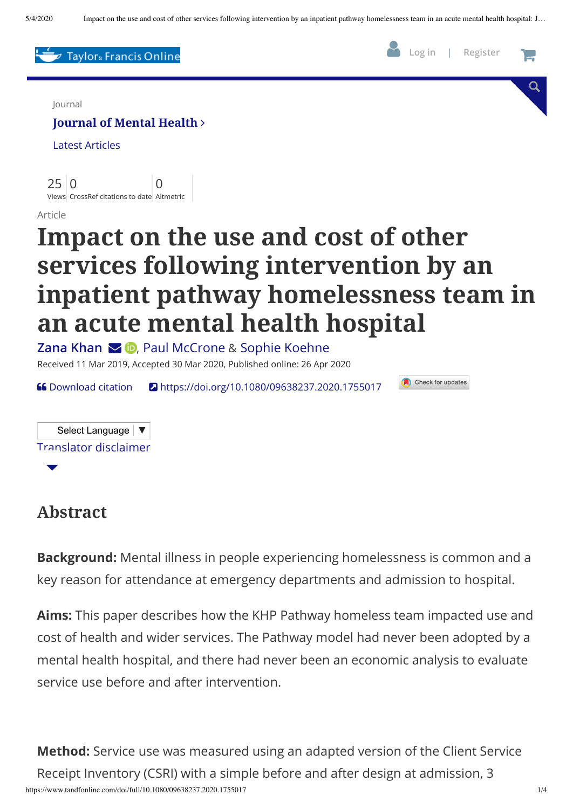

#### **Abstract**

**Background:** Mental illness in people experiencing homelessness is common and a key reason for attendance at emergency departments and admission to hospital.

**Aims:** This paper describes how the KHP Pathway homeless team impacted use and cost of health and wider services. The Pathway model had never been adopted by a mental health hospital, and there had never been an economic analysis to evaluate service use before and after intervention.

https://www.tandfonline.com/doi/full/10.1080/09638237.2020.1755017 1/4 **Method:** Service use was measured using an adapted version of the Client Service Receipt Inventory (CSRI) with a simple before and after design at admission, 3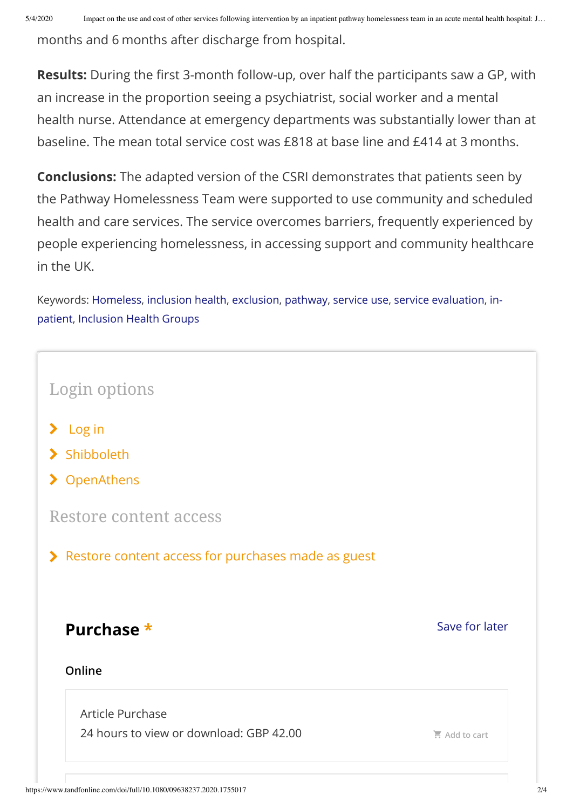months and 6 months after discharge from hospital.

**Results:** During the first 3-month follow-up, over half the participants saw a GP, with an increase in the proportion seeing a psychiatrist, social worker and a mental health nurse. Attendance at emergency departments was substantially lower than at baseline. The mean total service cost was £818 at base line and £414 at 3 months.

**Conclusions:** The adapted version of the CSRI demonstrates that patients seen by the Pathway Homelessness Team were supported to use community and scheduled health and care services. The service overcomes barriers, frequently experienced by people experiencing homelessness, in accessing support and community healthcare in the UK.

Keywords: [Homeless](https://www.tandfonline.com/keyword/Homeless), [inclusion](https://www.tandfonline.com/keyword/Inclusion+Health) health, [exclusion](https://www.tandfonline.com/keyword/Exclusion), [pathway,](https://www.tandfonline.com/keyword/Pathway) [service](https://www.tandfonline.com/keyword/Service+Use) use, service [evaluation](https://www.tandfonline.com/keyword/Service+Evaluation)[,](https://www.tandfonline.com/keyword/In-patient) inpatient, [Inclusion](https://www.tandfonline.com/keyword/Inclusion+Health+Groups) Health Groups

| Login options                                        |                |  |
|------------------------------------------------------|----------------|--|
| $\sum$ Log in                                        |                |  |
| > Shibboleth                                         |                |  |
| > OpenAthens                                         |                |  |
| Restore content access                               |                |  |
| > Restore content access for purchases made as guest |                |  |
|                                                      |                |  |
|                                                      | Save for later |  |
| Purchase *<br>Online                                 |                |  |
| Article Purchase                                     |                |  |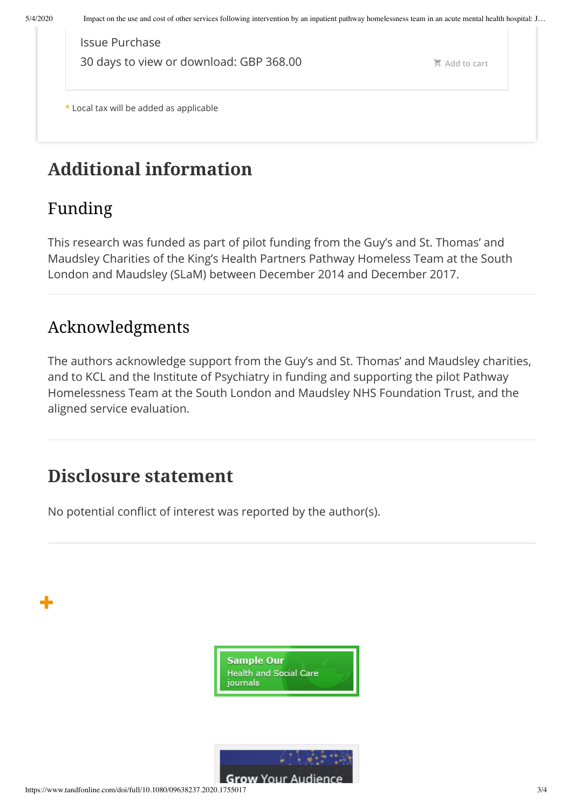\* Local tax will be added as applicable **[Add](https://www.tandfonline.com/action/addToCart?id=IJMHPF_ISS_2020-IJMHPF_ISS_2020_Z4-ELECTRONIC-GBP-10.1080/09638237.2020.1755017-477561) to cart** Issue Purchase 30 days to view or download: GBP 368.00

# **Additional information**

## Funding

╋

This research was funded as part of pilot funding from the Guy's and St. Thomas' and Maudsley Charities of the King's Health Partners Pathway Homeless Team at the South London and Maudsley (SLaM) between December 2014 and December 2017.

### Acknowledgments

The authors acknowledge support from the Guy's and St. Thomas' and Maudsley charities, and to KCL and the Institute of Psychiatry in funding and supporting the pilot Pathway Homelessness Team at the South London and Maudsley NHS Foundation Trust, and the aligned service evaluation.

## **Disclosure statement**

No potential conflict of interest was reported by the author(s).